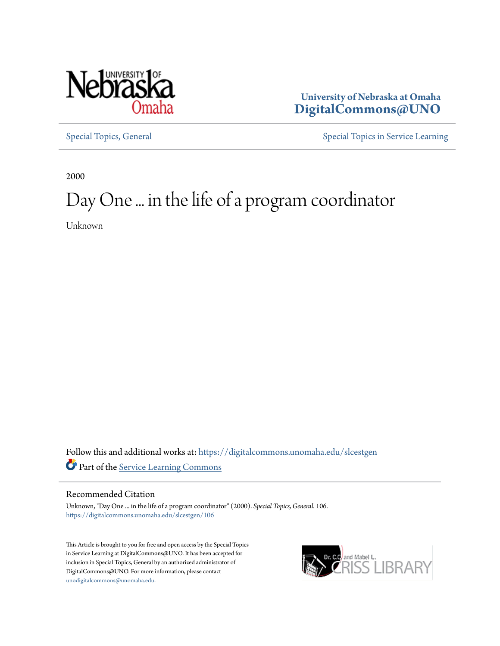

**University of Nebraska at Omaha [DigitalCommons@UNO](https://digitalcommons.unomaha.edu?utm_source=digitalcommons.unomaha.edu%2Fslcestgen%2F106&utm_medium=PDF&utm_campaign=PDFCoverPages)**

[Special Topics, General](https://digitalcommons.unomaha.edu/slcestgen?utm_source=digitalcommons.unomaha.edu%2Fslcestgen%2F106&utm_medium=PDF&utm_campaign=PDFCoverPages) [Special Topics in Service Learning](https://digitalcommons.unomaha.edu/slcespecialtopics?utm_source=digitalcommons.unomaha.edu%2Fslcestgen%2F106&utm_medium=PDF&utm_campaign=PDFCoverPages)

2000

# Day One ... in the life of a program coordinator

Unknown

Follow this and additional works at: [https://digitalcommons.unomaha.edu/slcestgen](https://digitalcommons.unomaha.edu/slcestgen?utm_source=digitalcommons.unomaha.edu%2Fslcestgen%2F106&utm_medium=PDF&utm_campaign=PDFCoverPages) Part of the [Service Learning Commons](http://network.bepress.com/hgg/discipline/1024?utm_source=digitalcommons.unomaha.edu%2Fslcestgen%2F106&utm_medium=PDF&utm_campaign=PDFCoverPages)

#### Recommended Citation

Unknown, "Day One ... in the life of a program coordinator" (2000). *Special Topics, General*. 106. [https://digitalcommons.unomaha.edu/slcestgen/106](https://digitalcommons.unomaha.edu/slcestgen/106?utm_source=digitalcommons.unomaha.edu%2Fslcestgen%2F106&utm_medium=PDF&utm_campaign=PDFCoverPages)

This Article is brought to you for free and open access by the Special Topics in Service Learning at DigitalCommons@UNO. It has been accepted for inclusion in Special Topics, General by an authorized administrator of DigitalCommons@UNO. For more information, please contact [unodigitalcommons@unomaha.edu](mailto:unodigitalcommons@unomaha.edu).